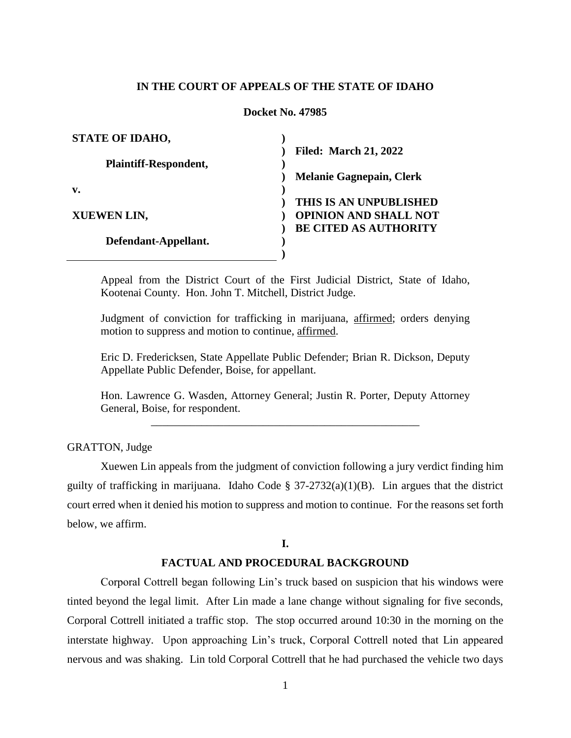## **IN THE COURT OF APPEALS OF THE STATE OF IDAHO**

## **Docket No. 47985**

| <b>STATE OF IDAHO,</b>       |                                 |
|------------------------------|---------------------------------|
|                              | <b>Filed: March 21, 2022</b>    |
| <b>Plaintiff-Respondent,</b> |                                 |
|                              | <b>Melanie Gagnepain, Clerk</b> |
| $\mathbf{v}$ .               |                                 |
|                              | THIS IS AN UNPUBLISHED          |
| <b>XUEWEN LIN,</b>           | <b>OPINION AND SHALL NOT</b>    |
|                              | <b>BE CITED AS AUTHORITY</b>    |
| Defendant-Appellant.         |                                 |
|                              |                                 |

Appeal from the District Court of the First Judicial District, State of Idaho, Kootenai County. Hon. John T. Mitchell, District Judge.

Judgment of conviction for trafficking in marijuana, affirmed; orders denying motion to suppress and motion to continue, affirmed.

Eric D. Fredericksen, State Appellate Public Defender; Brian R. Dickson, Deputy Appellate Public Defender, Boise, for appellant.

Hon. Lawrence G. Wasden, Attorney General; Justin R. Porter, Deputy Attorney General, Boise, for respondent.

\_\_\_\_\_\_\_\_\_\_\_\_\_\_\_\_\_\_\_\_\_\_\_\_\_\_\_\_\_\_\_\_\_\_\_\_\_\_\_\_\_\_\_\_\_\_\_\_

GRATTON, Judge

Xuewen Lin appeals from the judgment of conviction following a jury verdict finding him guilty of trafficking in marijuana. Idaho Code §  $37-2732(a)(1)(B)$ . Lin argues that the district court erred when it denied his motion to suppress and motion to continue. For the reasons set forth below, we affirm.

# **I.**

#### **FACTUAL AND PROCEDURAL BACKGROUND**

Corporal Cottrell began following Lin's truck based on suspicion that his windows were tinted beyond the legal limit. After Lin made a lane change without signaling for five seconds, Corporal Cottrell initiated a traffic stop. The stop occurred around 10:30 in the morning on the interstate highway. Upon approaching Lin's truck, Corporal Cottrell noted that Lin appeared nervous and was shaking. Lin told Corporal Cottrell that he had purchased the vehicle two days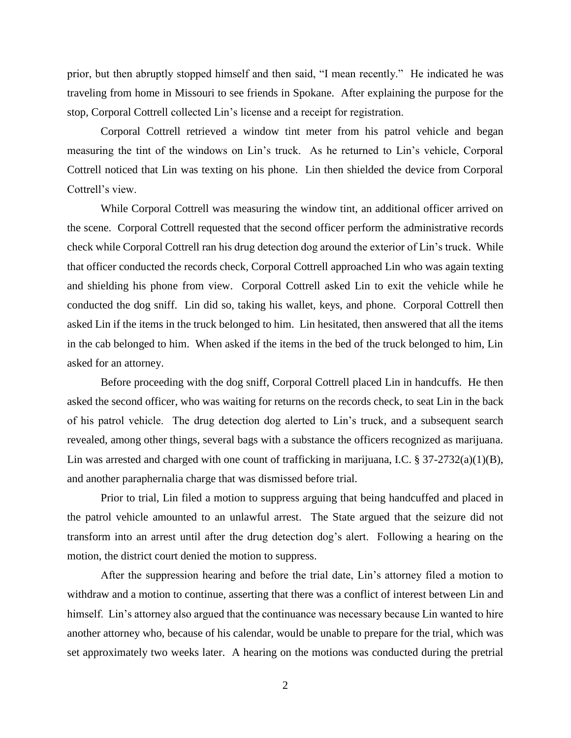prior, but then abruptly stopped himself and then said, "I mean recently." He indicated he was traveling from home in Missouri to see friends in Spokane. After explaining the purpose for the stop, Corporal Cottrell collected Lin's license and a receipt for registration.

Corporal Cottrell retrieved a window tint meter from his patrol vehicle and began measuring the tint of the windows on Lin's truck. As he returned to Lin's vehicle, Corporal Cottrell noticed that Lin was texting on his phone. Lin then shielded the device from Corporal Cottrell's view.

While Corporal Cottrell was measuring the window tint, an additional officer arrived on the scene. Corporal Cottrell requested that the second officer perform the administrative records check while Corporal Cottrell ran his drug detection dog around the exterior of Lin's truck. While that officer conducted the records check, Corporal Cottrell approached Lin who was again texting and shielding his phone from view. Corporal Cottrell asked Lin to exit the vehicle while he conducted the dog sniff. Lin did so, taking his wallet, keys, and phone. Corporal Cottrell then asked Lin if the items in the truck belonged to him. Lin hesitated, then answered that all the items in the cab belonged to him. When asked if the items in the bed of the truck belonged to him, Lin asked for an attorney.

Before proceeding with the dog sniff, Corporal Cottrell placed Lin in handcuffs. He then asked the second officer, who was waiting for returns on the records check, to seat Lin in the back of his patrol vehicle. The drug detection dog alerted to Lin's truck, and a subsequent search revealed, among other things, several bags with a substance the officers recognized as marijuana. Lin was arrested and charged with one count of trafficking in marijuana, I.C.  $\S 37-2732(a)(1)(B)$ , and another paraphernalia charge that was dismissed before trial.

Prior to trial, Lin filed a motion to suppress arguing that being handcuffed and placed in the patrol vehicle amounted to an unlawful arrest. The State argued that the seizure did not transform into an arrest until after the drug detection dog's alert. Following a hearing on the motion, the district court denied the motion to suppress.

After the suppression hearing and before the trial date, Lin's attorney filed a motion to withdraw and a motion to continue, asserting that there was a conflict of interest between Lin and himself. Lin's attorney also argued that the continuance was necessary because Lin wanted to hire another attorney who, because of his calendar, would be unable to prepare for the trial, which was set approximately two weeks later. A hearing on the motions was conducted during the pretrial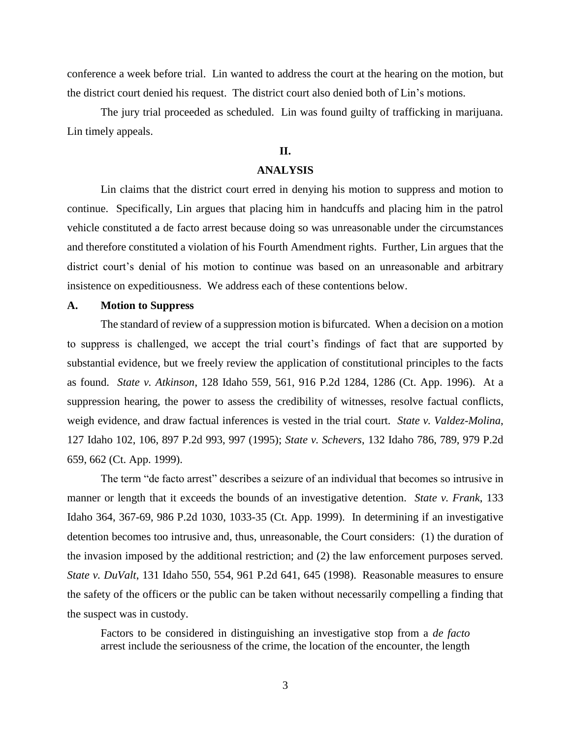conference a week before trial. Lin wanted to address the court at the hearing on the motion, but the district court denied his request. The district court also denied both of Lin's motions.

The jury trial proceeded as scheduled. Lin was found guilty of trafficking in marijuana. Lin timely appeals.

## **II.**

### **ANALYSIS**

Lin claims that the district court erred in denying his motion to suppress and motion to continue. Specifically, Lin argues that placing him in handcuffs and placing him in the patrol vehicle constituted a de facto arrest because doing so was unreasonable under the circumstances and therefore constituted a violation of his Fourth Amendment rights. Further, Lin argues that the district court's denial of his motion to continue was based on an unreasonable and arbitrary insistence on expeditiousness. We address each of these contentions below.

#### **A. Motion to Suppress**

The standard of review of a suppression motion is bifurcated. When a decision on a motion to suppress is challenged, we accept the trial court's findings of fact that are supported by substantial evidence, but we freely review the application of constitutional principles to the facts as found. *State v. Atkinson*, 128 Idaho 559, 561, 916 P.2d 1284, 1286 (Ct. App. 1996). At a suppression hearing, the power to assess the credibility of witnesses, resolve factual conflicts, weigh evidence, and draw factual inferences is vested in the trial court. *State v. Valdez-Molina*, 127 Idaho 102, 106, 897 P.2d 993, 997 (1995); *State v. Schevers*, 132 Idaho 786, 789, 979 P.2d 659, 662 (Ct. App. 1999).

The term "de facto arrest" describes a seizure of an individual that becomes so intrusive in manner or length that it exceeds the bounds of an investigative detention. *State v. Frank*, 133 Idaho 364, 367-69, 986 P.2d 1030, 1033-35 (Ct. App. 1999). In determining if an investigative detention becomes too intrusive and, thus, unreasonable, the Court considers: (1) the duration of the invasion imposed by the additional restriction; and (2) the law enforcement purposes served. *State v. DuValt*, 131 Idaho 550, 554, 961 P.2d 641, 645 (1998). Reasonable measures to ensure the safety of the officers or the public can be taken without necessarily compelling a finding that the suspect was in custody.

Factors to be considered in distinguishing an investigative stop from a *de facto* arrest include the seriousness of the crime, the location of the encounter, the length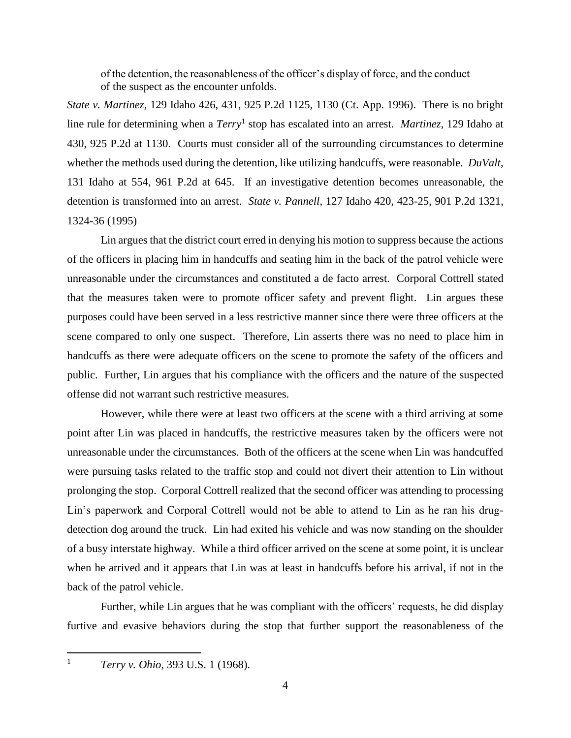of the detention, the reasonableness of the officer's display of force, and the conduct of the suspect as the encounter unfolds.

*State v. Martinez*, 129 Idaho 426, 431, 925 P.2d 1125, 1130 (Ct. App. 1996). There is no bright line rule for determining when a *Terry*<sup>1</sup> stop has escalated into an arrest. *Martinez*, 129 Idaho at 430, 925 P.2d at 1130. Courts must consider all of the surrounding circumstances to determine whether the methods used during the detention, like utilizing handcuffs, were reasonable. *DuValt*, 131 Idaho at 554, 961 P.2d at 645. If an investigative detention becomes unreasonable, the detention is transformed into an arrest. *State v. Pannell*, 127 Idaho 420, 423-25, 901 P.2d 1321, 1324-36 (1995)

Lin argues that the district court erred in denying his motion to suppress because the actions of the officers in placing him in handcuffs and seating him in the back of the patrol vehicle were unreasonable under the circumstances and constituted a de facto arrest. Corporal Cottrell stated that the measures taken were to promote officer safety and prevent flight. Lin argues these purposes could have been served in a less restrictive manner since there were three officers at the scene compared to only one suspect. Therefore, Lin asserts there was no need to place him in handcuffs as there were adequate officers on the scene to promote the safety of the officers and public. Further, Lin argues that his compliance with the officers and the nature of the suspected offense did not warrant such restrictive measures.

However, while there were at least two officers at the scene with a third arriving at some point after Lin was placed in handcuffs, the restrictive measures taken by the officers were not unreasonable under the circumstances. Both of the officers at the scene when Lin was handcuffed were pursuing tasks related to the traffic stop and could not divert their attention to Lin without prolonging the stop. Corporal Cottrell realized that the second officer was attending to processing Lin's paperwork and Corporal Cottrell would not be able to attend to Lin as he ran his drugdetection dog around the truck. Lin had exited his vehicle and was now standing on the shoulder of a busy interstate highway. While a third officer arrived on the scene at some point, it is unclear when he arrived and it appears that Lin was at least in handcuffs before his arrival, if not in the back of the patrol vehicle.

Further, while Lin argues that he was compliant with the officers' requests, he did display furtive and evasive behaviors during the stop that further support the reasonableness of the

 $\mathbf{1}$ 

<sup>1</sup> *Terry v. Ohio*, 393 U.S. 1 (1968).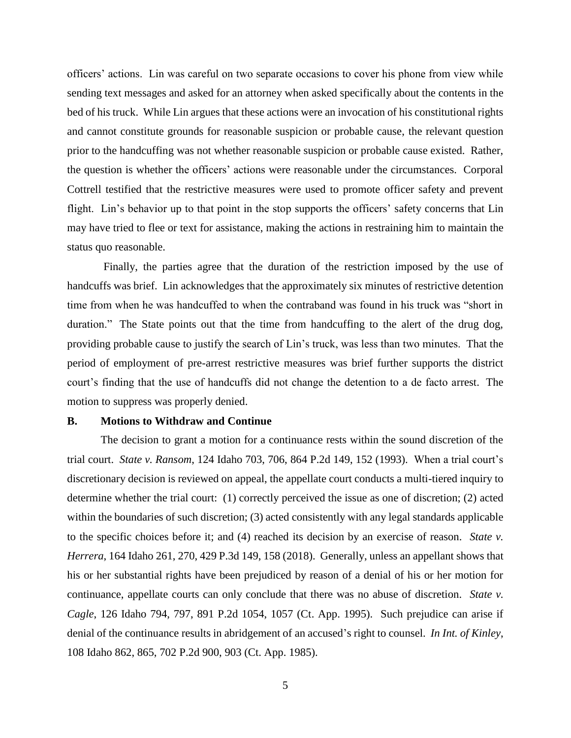officers' actions. Lin was careful on two separate occasions to cover his phone from view while sending text messages and asked for an attorney when asked specifically about the contents in the bed of his truck. While Lin argues that these actions were an invocation of his constitutional rights and cannot constitute grounds for reasonable suspicion or probable cause, the relevant question prior to the handcuffing was not whether reasonable suspicion or probable cause existed. Rather, the question is whether the officers' actions were reasonable under the circumstances. Corporal Cottrell testified that the restrictive measures were used to promote officer safety and prevent flight. Lin's behavior up to that point in the stop supports the officers' safety concerns that Lin may have tried to flee or text for assistance, making the actions in restraining him to maintain the status quo reasonable.

Finally, the parties agree that the duration of the restriction imposed by the use of handcuffs was brief. Lin acknowledges that the approximately six minutes of restrictive detention time from when he was handcuffed to when the contraband was found in his truck was "short in duration." The State points out that the time from handcuffing to the alert of the drug dog, providing probable cause to justify the search of Lin's truck, was less than two minutes. That the period of employment of pre-arrest restrictive measures was brief further supports the district court's finding that the use of handcuffs did not change the detention to a de facto arrest. The motion to suppress was properly denied.

#### **B. Motions to Withdraw and Continue**

The decision to grant a motion for a continuance rests within the sound discretion of the trial court. *State v. Ransom*, 124 Idaho 703, 706, 864 P.2d 149, 152 (1993). When a trial court's discretionary decision is reviewed on appeal, the appellate court conducts a multi-tiered inquiry to determine whether the trial court: (1) correctly perceived the issue as one of discretion; (2) acted within the boundaries of such discretion; (3) acted consistently with any legal standards applicable to the specific choices before it; and (4) reached its decision by an exercise of reason. *State v. Herrera*, 164 Idaho 261, 270, 429 P.3d 149, 158 (2018). Generally, unless an appellant shows that his or her substantial rights have been prejudiced by reason of a denial of his or her motion for continuance, appellate courts can only conclude that there was no abuse of discretion. *State v. Cagle*, 126 Idaho 794, 797, 891 P.2d 1054, 1057 (Ct. App. 1995). Such prejudice can arise if denial of the continuance results in abridgement of an accused's right to counsel. *In Int. of Kinley*, 108 Idaho 862, 865, 702 P.2d 900, 903 (Ct. App. 1985).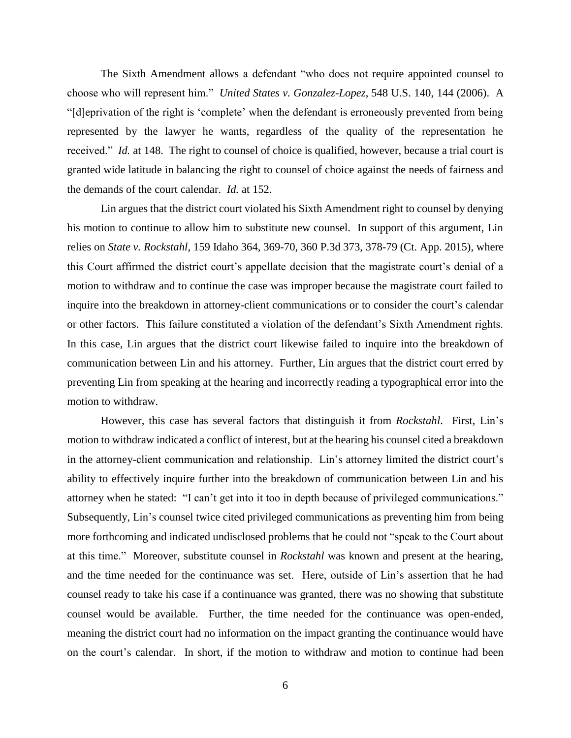The Sixth Amendment allows a defendant "who does not require appointed counsel to choose who will represent him." *[United States v. Gonzalez-Lopez](https://1.next.westlaw.com/Link/Document/FullText?findType=Y&serNum=2009431170&pubNum=0000708&originatingDoc=I68a4ba40774611e5b86bd602cb8781fa&refType=RP&fi=co_pp_sp_708_2561&originationContext=document&transitionType=DocumentItem&ppcid=8594420633e74805be76f6dc5387c774&contextData=(sc.UserEnteredCitation)#co_pp_sp_708_2561)*, 548 U.S. 140, 144 (2006). A "[d]eprivation of the right is 'complete' when the defendant is erroneously prevented from being represented by the lawyer he wants, regardless of the quality of the representation he received." *Id.* [at 148.](https://1.next.westlaw.com/Link/Document/FullText?findType=Y&serNum=2009431170&pubNum=0000708&originatingDoc=I68a4ba40774611e5b86bd602cb8781fa&refType=RP&fi=co_pp_sp_708_2563&originationContext=document&transitionType=DocumentItem&ppcid=8594420633e74805be76f6dc5387c774&contextData=(sc.UserEnteredCitation)#co_pp_sp_708_2563) The right to counsel of choice is qualified, however, because a trial court is granted wide latitude in balancing the right to counsel of choice against the needs of fairness and the demands of the court calendar. *Id.* at 152.

Lin argues that the district court violated his Sixth Amendment right to counsel by denying his motion to continue to allow him to substitute new counsel. In support of this argument, Lin relies on *State v. Rockstahl*, 159 Idaho 364, 369-70, 360 P.3d 373, 378-79 (Ct. App. 2015), where this Court affirmed the district court's appellate decision that the magistrate court's denial of a motion to withdraw and to continue the case was improper because the magistrate court failed to inquire into the breakdown in attorney-client communications or to consider the court's calendar or other factors. This failure constituted a violation of the defendant's Sixth Amendment rights. In this case, Lin argues that the district court likewise failed to inquire into the breakdown of communication between Lin and his attorney. Further, Lin argues that the district court erred by preventing Lin from speaking at the hearing and incorrectly reading a typographical error into the motion to withdraw.

However, this case has several factors that distinguish it from *Rockstahl*. First, Lin's motion to withdraw indicated a conflict of interest, but at the hearing his counsel cited a breakdown in the attorney-client communication and relationship. Lin's attorney limited the district court's ability to effectively inquire further into the breakdown of communication between Lin and his attorney when he stated: "I can't get into it too in depth because of privileged communications." Subsequently, Lin's counsel twice cited privileged communications as preventing him from being more forthcoming and indicated undisclosed problems that he could not "speak to the Court about at this time." Moreover, substitute counsel in *Rockstahl* was known and present at the hearing, and the time needed for the continuance was set. Here, outside of Lin's assertion that he had counsel ready to take his case if a continuance was granted, there was no showing that substitute counsel would be available. Further, the time needed for the continuance was open-ended, meaning the district court had no information on the impact granting the continuance would have on the court's calendar. In short, if the motion to withdraw and motion to continue had been